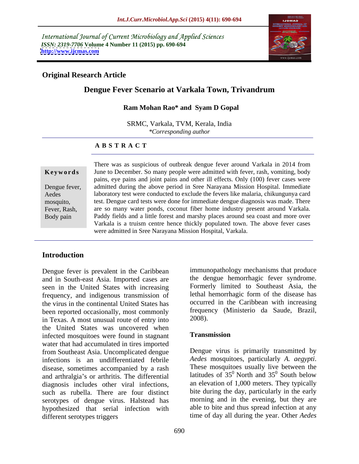International Journal of Current Microbiology and Applied Sciences *ISSN: 2319-7706* **Volume 4 Number 11 (2015) pp. 690-694 <http://www.ijcmas.com>**



## **Original Research Article**

# **Dengue Fever Scenario at Varkala Town, Trivandrum**

## **Ram Mohan Rao\* and Syam D Gopal**

SRMC, Varkala, TVM, Kerala, India *\*Corresponding author*

## **A B S T R A C T**

Body pain

There was as suspicious of outbreak dengue fever around Varkala in 2014 from June to December. So many people were admitted with fever, rash, vomiting, body **Ke ywo rds** pains, eye pains and joint pains and other ill effects. Only (100) fever cases were Dengue fever, admitted during the above period in Sree Narayana Mission Hospital. Immediate laboratory test were conducted to exclude the fevers like malaria, chikungunya card Aedes test. Dengue card tests were done for immediate dengue diagnosis was made. There mosquito, Fever, Rash, are so many water ponds, coconut fiber home industry present around Varkala. Paddy fields and a little forest and marshy places around sea coast and more over Varkala is a truism centre hence thickly populated town. The above fever cases were admitted in Sree Narayana Mission Hospital, Varkala.

## **Introduction**

Dengue fever is prevalent in the Caribbean<br>and in South-east Asia Imported cases are the dengue hemorrhagic fever syndrome. and in South-east Asia. Imported cases are the dengue hemorrhagic fever syndrome.<br>
seen in the United States with increasing Formerly limited to Southeast Asia, the seen in the United States with increasing frequency, and indigenous transmission of the virus in the continental United States has continent in the Caribbean with increasing<br>been reported occasionally most commonly frequency (Ministerio da Saude, Brazil, been reported occasionally, most commonly frequency in Texas. A most unusual route of entry into 2008). in Texas. A most unusual route of entry into the United States was uncovered when<br>infected mosquitoes were found in stagnant **Transmission** infected mosquitoes were found in stagnant water that had accumulated in tires imported from Southeast Asia. Uncomplicated dengue <br>infections is an undifferentiated febrile *Aedes* mosquitoes, particularly A. *aegypti*. infections is an undifferentiated febrile *Aedes* mosquitoes, particularly A. *aegypti*.<br>disease sometimes accompanied by a rash These mosquitoes usually live between the disease, sometimes accompanied by a rash and arthralgia's or arthritis. The differential diagnosis includes other viral infections, such as rubella. There are four distinct serotypes of dengue virus. Halstead has hypothesized that serial infection with different serotypes triggers time of day all during the year. Other *Aedes* 

immunopathology mechanisms that produce the dengue hemorrhagic fever syndrome. Formerly limited to Southeast Asia, the lethal hemorrhagic form of the disease has occurred in the Caribbean with increasing frequency (Ministerio da Saude, Brazil, 2008).

## **Transmission**

Dengue virus is primarily transmitted by *Aedes* mosquitoes, particularly *A. aegypti*. These mosquitoes usually live between the latitudes of  $35^{\circ}$  North and  $35^{\circ}$  South below  $\sigma$  South below an elevation of 1,000 meters. They typically bite during the day, particularly in the early morning and in the evening, but they are able to bite and thus spread infection at any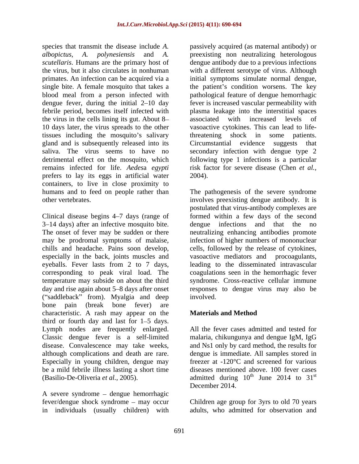species that transmit the disease include *A.*  passively acquired (as maternal antibody) or *albopictus, A. polynesiensis* and *A.* preexisting non neutralizing heterologous *scutellaris*. Humans are the primary host of the virus, but it also circulates in nonhuman with a different serotype of virus. Although primates. An infection can be acquired via a initial symptoms simulate normal dengue, single bite. A female mosquito that takes a the patient's condition worsens. The key blood meal from a person infected with pathological feature of dengue hemorrhagic dengue fever, during the initial 2–10 day fever is increased vascular permeability with febrile period, becomes itself infected with the virus in the cells lining its gut. About 8- associated with increased levels of 10 days later, the virus spreads to the other tissues including the mosquito's salivary threatening shock in some patients. gland and is subsequently released into its Circumstantial evidence suggests that saliva. The virus seems to have no secondary infection with dengue type 2 detrimental effect on the mosquito, which following type 1 infections is a particular remains infected for life. *Aedes*a *egypti* risk factor for severe disease (Chen *et al.,* prefers to lay its eggs in artificial water containers, to live in close proximity to humans and to feed on people rather than The pathogenesis of the severe syndrome other vertebrates. involves preexisting dengue antibody. It is

3–14 days) after an infective mosquito bite. dengue infections and that the no especially in the back, joints muscles and corresponding to peak viral load. The ("saddleback" from). Myalgia and deep involved. bone pain (break bone fever) are characteristic. A rash may appear on the **Materials and Method** third or fourth day and last for  $1-5$  days. Lymph nodes are frequently enlarged. All the fever cases admitted and tested for Classic dengue fever is a self-limited malaria, chikungunya and dengue IgM, IgG disease. Convalescence may take weeks, and Ns1 only by card method, the results for although complications and death are rare. dengue is immediate. All samples stored in Especially in young children, dengue may be a mild febrile illness lasting a short time diseases mentioned above. 100 fever cases

A severe syndrome  $-$  dengue hemorrhagic in individuals (usually children) with dengue antibody due to a previous infections plasma leakage into the interstitial spaces associated with increased levels of vasoactive cytokines. This can lead to lifethreatening shock in some Circumstantial evidence 2004).

Clinical disease begins 4–7 days (range of formed within a few days of the second The onset of fever may be sudden or there neutralizing enhancing antibodies promote may be prodromal symptoms of malaise, infection of higher numbers of mononuclear chills and headache. Pains soon develop, cells, followed by the release of cytokines, eyeballs. Fever lasts from 2 to 7 days, leading to the disseminated intravascular temperature may subside on about the third syndrome. Cross-reactive cellular immune day and rise again about 5–8 days after onset responses to dengue virus may also be postulated that virus-antibody complexes are dengue infections and that the no vasoactive mediators and procoagulants, coagulations seen in the hemorrhagic fever involved.

## **Materials and Method**

(Basilio-De-Oliveria *et al.*, 2005).  $\qquad \qquad$  admitted during 10<sup>th</sup> June 2014 to 31<sup>st</sup> freezer at -120°C and screened for various <sup>th</sup> June 2014 to  $31^{\text{st}}$ st December 2014.

fever/dengue shock syndrome may occur Children age group for 3yrs to old 70 years adults, who admitted for observation and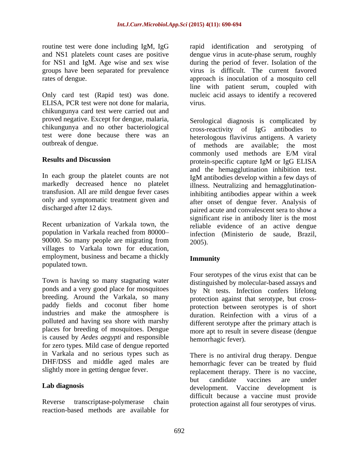ELISA, PCR test were not done for malaria, chikungunya card test were carried out and proved negative. Except for dengue, malaria, chikungunya and no other bacteriological cross-reactivity of IgG antibodies to

In each group the platelet counts are not markedly decreased hence no platelet only and symptomatic treatment given and

population in Varkala reached from 80000-<br>infection (Ministerio de saude, Brazil, 90000. So many people are migrating from  $2005$ . villages to Varkala town for education, employment, business and became a thickly **Immunity** populated town.

Town is having so many stagnating water ponds and a very good place for mosquitoes by Nt tests. Infection confers lifelong breeding. Around the Varkala, so many paddy fields and coconut fiber home protection between serotypes is of short industries and make the atmosphere is polluted and having sea shore with marshy places for breeding of mosquitoes. Dengue is caused by *Aedes aegypti* and responsible for zero types. Mild case of dengue reported in Varkala and no serious types such as

reaction-based methods are available for

routine test were done including IgM, IgG and identification and serotyping of and NS1 platelets count cases are positive dengue virus in acute-phase serum, roughly for NS1 and IgM. Age wise and sex wise during the period of fever. Isolation of the groups have been separated for prevalence virus is difficult. The current favored rates of dengue. approach is inoculation of a mosquito cell Only card test (Rapid test) was done. Inucleic acid assays to identify a recovered line with patient serum, coupled with virus.

test were done because there was an heterologous flavivirus antigens. A variety outbreak of dengue. of methods are available; the most **Results and Discussion** protein-specific capture IgM or IgG ELISA transfusion. All are mild dengue fever cases inhibiting antibodies appear within a week discharged after 12 days. paired acute and convalescent sera to show a Recent urbanization of Varkala town, the reliable evidence of an active dengue Serological diagnosis is complicated by cross-reactivity of IgG antibodies commonly used methods are E/M viral protein-specific capture IgM or IgG ELISA and the hemagglutination inhibition test. IgM antibodies develop within a few days of illness. Neutralizing and hemagglutinationafter onset of dengue fever. Analysis of significant rise in antibody liter is the most infection (Ministerio de saude, Brazil, 2005).

## **Immunity**

Four serotypes of the virus exist that can be distinguished by molecular-based assays and protection against that serotype, but cross duration. Reinfection with a virus of a different serotype after the primary attach is more apt to result in severe disease (dengue hemorrhagic fever).

DHF/DSS and middle aged males are hemorrhagic fever can be treated by fluid slightly more in getting dengue fever. replacement therapy. There is no vaccine, **Lab diagnosis** development. Vaccine development is Reverse transcriptase-polymerase chain protection against all four serotypes of virus. There is no antiviral drug therapy. Dengue but candidate vaccines are under difficult because a vaccine must provide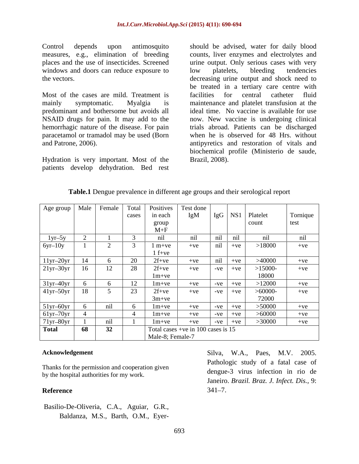windows and doors can reduce exposure to low platelets, bleeding tendencies

predominant and bothersome but avoids all paracetamol or tramadol may be used (Born

Hydration is very important. Most of the patients develop dehydration. Bed rest

Control depends upon antimosquito should be advised, water for daily blood measures, e.g., elimination of breeding counts, liver enzymes and electrolytes and places and the use of insecticides. Screened urine output. Only serious cases with very the vectors. decreasing urine output and shock need to Most of the cases are mild. Treatment is facilities for central catheter fluid mainly symptomatic. Myalgia is maintenance and platelet transfusion at the NSAID drugs for pain. It may add to the now. New vaccine is undergoing clinical hemorrhagic nature of the disease. For pain trials abroad. Patients can be discharged and Patrone, 2006). antipyretics and restoration of vitals and low platelets, bleeding tendencies be treated in a tertiary care centre with facilities for central catheter fluid ideal time. No vaccine is available for use when he is observed for 48 Hrs. without biochemical profile (Ministerio de saude, Brazil, 2008).

| Table. | $\cdots$<br>l Dengue prevalence in different age groups and their serological report |  |  |  |
|--------|--------------------------------------------------------------------------------------|--|--|--|
|        |                                                                                      |  |  |  |

|                                      |     |     |               | Age group   Male   Female   Total   Positives | Test done                              |       |           |                      |          |
|--------------------------------------|-----|-----|---------------|-----------------------------------------------|----------------------------------------|-------|-----------|----------------------|----------|
|                                      |     |     | cases         | in each                                       | IgM                                    |       |           | IgG   NS1   Platelet | Tornique |
|                                      |     |     |               | group                                         |                                        |       |           | count                | test     |
|                                      |     |     |               | $M + F$                                       |                                        |       |           |                      |          |
| $1yr-5y$<br>$\overline{\phantom{a}}$ |     |     |               | nil                                           | nil                                    | nil   | nil       | nil                  | nil      |
| $6yr-10y$                            |     |     |               | $1 m+ve$                                      | $+ve$                                  | nil   | $+ve$     | >18000               | $+ve$    |
|                                      |     |     |               | $1 f+ve$                                      |                                        |       |           |                      |          |
|                                      |     |     | 20            | $2f+ve$                                       | $+ve$                                  | nil   | $+ve$     | >40000               | $+ve$    |
| $\frac{11yr-20yr}{21yr-30yr}$        | 16  | 12  | 28            | $2f + ve$                                     | $+ve$                                  | $-ve$ | $+ve$     | $>15000-$            | $+ve$    |
|                                      |     |     |               | $1m+ve$                                       |                                        |       |           | 18000                |          |
| $31yr-40yr$                          |     |     | $\perp$       | $1m+ve$                                       | $+ve$                                  |       | $-ve +ve$ | >12000               | $+ve$    |
| $41yr-50yr$                          | -18 |     | $\sim$<br>ر ے | $2f + ve$                                     | $+ve$                                  |       | $-ve +ve$ | >60000               | $+ve$    |
|                                      |     |     |               | $3m+ve$                                       |                                        |       |           | 72000                |          |
| $51yr-60yr$                          |     | nil |               | $1m+ve$                                       | $+ve$                                  |       | $-ve +ve$ | >50000               | $+ve$    |
| $61yr-70yr$                          |     |     |               | $1m+ve$                                       | $+ve$                                  |       | $-ve +ve$ | > 60000              | $+ve$    |
| $71yr-80yr$                          |     | ni1 |               | $1m+ve$                                       | $+ve$                                  |       | $-ve +ve$ | >30000               | $+ve$    |
| Total                                | 68  | 32  |               |                                               | Total cases +ve in $100$ cases is $15$ |       |           |                      |          |
|                                      |     |     |               | Male-8; Female-7                              |                                        |       |           |                      |          |

by the hospital authorities for my work.

Basilio-De-Oliveria, C.A., Aguiar, G.R.,

Acknowledgement Silva, W.A., Paes, M.V. 2005. Thanks for the permission and cooperation given **Reference** 341–7. wledgement<br>
s for the permission and cooperation given<br>
hospital authorities for my work.<br>
hospital authorities for my work.<br> **Exertice Article Study of a fatal case of**<br>
dengue-3 virus infection in rio de<br>
Janeiro. *Brazi* dengue-3 virus infection in rio de Janeiro. *Brazil. Braz. J. Infect. Dis.,* 9:  $341 - 7.$